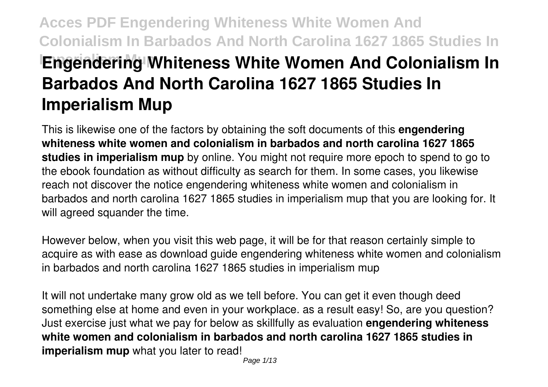# **Acces PDF Engendering Whiteness White Women And Colonialism In Barbados And North Carolina 1627 1865 Studies In Engendering Whiteness White Women And Colonialism In Barbados And North Carolina 1627 1865 Studies In Imperialism Mup**

This is likewise one of the factors by obtaining the soft documents of this **engendering whiteness white women and colonialism in barbados and north carolina 1627 1865 studies in imperialism mup** by online. You might not require more epoch to spend to go to the ebook foundation as without difficulty as search for them. In some cases, you likewise reach not discover the notice engendering whiteness white women and colonialism in barbados and north carolina 1627 1865 studies in imperialism mup that you are looking for. It will agreed squander the time.

However below, when you visit this web page, it will be for that reason certainly simple to acquire as with ease as download guide engendering whiteness white women and colonialism in barbados and north carolina 1627 1865 studies in imperialism mup

It will not undertake many grow old as we tell before. You can get it even though deed something else at home and even in your workplace. as a result easy! So, are you question? Just exercise just what we pay for below as skillfully as evaluation **engendering whiteness white women and colonialism in barbados and north carolina 1627 1865 studies in imperialism mup** what you later to read!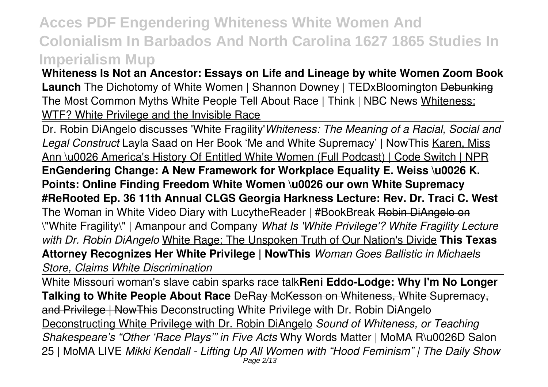**Whiteness Is Not an Ancestor: Essays on Life and Lineage by white Women Zoom Book Launch** The Dichotomy of White Women | Shannon Downey | TEDxBloomington Debunking The Most Common Myths White People Tell About Race | Think | NBC News Whiteness: WTF? White Privilege and the Invisible Race

Dr. Robin DiAngelo discusses 'White Fragility'*Whiteness: The Meaning of a Racial, Social and Legal Construct* Layla Saad on Her Book 'Me and White Supremacy' | NowThis Karen, Miss Ann \u0026 America's History Of Entitled White Women (Full Podcast) | Code Switch | NPR **EnGendering Change: A New Framework for Workplace Equality E. Weiss \u0026 K. Points: Online Finding Freedom White Women \u0026 our own White Supremacy #ReRooted Ep. 36 11th Annual CLGS Georgia Harkness Lecture: Rev. Dr. Traci C. West** The Woman in White Video Diary with LucytheReader | #BookBreak Robin DiAngelo on \"White Fragility\" | Amanpour and Company *What Is 'White Privilege'? White Fragility Lecture with Dr. Robin DiAngelo* White Rage: The Unspoken Truth of Our Nation's Divide **This Texas Attorney Recognizes Her White Privilege | NowThis** *Woman Goes Ballistic in Michaels Store, Claims White Discrimination*

White Missouri woman's slave cabin sparks race talk**Reni Eddo-Lodge: Why I'm No Longer Talking to White People About Race** DeRay McKesson on Whiteness, White Supremacy, and Privilege | NowThis Deconstructing White Privilege with Dr. Robin DiAngelo Deconstructing White Privilege with Dr. Robin DiAngelo *Sound of Whiteness, or Teaching Shakespeare's "Other 'Race Plays'" in Five Acts* Why Words Matter | MoMA R\u0026D Salon 25 | MoMA LIVE *Mikki Kendall - Lifting Up All Women with "Hood Feminism" | The Daily Show* Page 2/13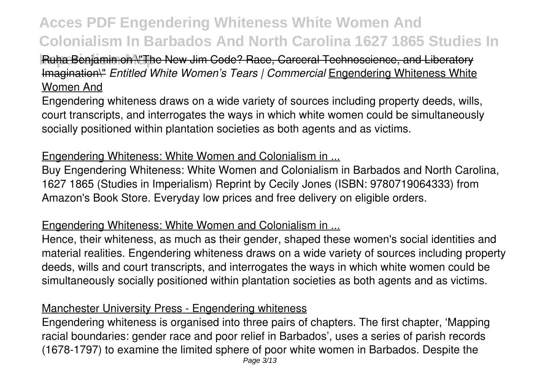### **Ruha Benjamin on N'The New Jim Code? Race, Carceral Technoscience, and Liberatory** Imagination\" *Entitled White Women's Tears | Commercial* Engendering Whiteness White Women And

Engendering whiteness draws on a wide variety of sources including property deeds, wills, court transcripts, and interrogates the ways in which white women could be simultaneously socially positioned within plantation societies as both agents and as victims.

#### Engendering Whiteness: White Women and Colonialism in ...

Buy Engendering Whiteness: White Women and Colonialism in Barbados and North Carolina, 1627 1865 (Studies in Imperialism) Reprint by Cecily Jones (ISBN: 9780719064333) from Amazon's Book Store. Everyday low prices and free delivery on eligible orders.

#### Engendering Whiteness: White Women and Colonialism in ...

Hence, their whiteness, as much as their gender, shaped these women's social identities and material realities. Engendering whiteness draws on a wide variety of sources including property deeds, wills and court transcripts, and interrogates the ways in which white women could be simultaneously socially positioned within plantation societies as both agents and as victims.

### Manchester University Press - Engendering whiteness

Engendering whiteness is organised into three pairs of chapters. The first chapter, 'Mapping racial boundaries: gender race and poor relief in Barbados', uses a series of parish records (1678-1797) to examine the limited sphere of poor white women in Barbados. Despite the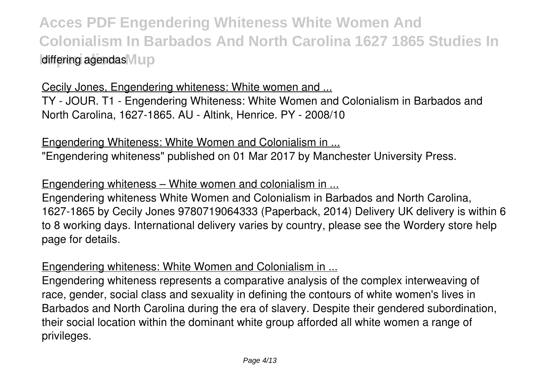Cecily Jones, Engendering whiteness: White women and ... TY - JOUR. T1 - Engendering Whiteness: White Women and Colonialism in Barbados and North Carolina, 1627-1865. AU - Altink, Henrice. PY - 2008/10

Engendering Whiteness: White Women and Colonialism in ... "Engendering whiteness" published on 01 Mar 2017 by Manchester University Press.

Engendering whiteness – White women and colonialism in ...

Engendering whiteness White Women and Colonialism in Barbados and North Carolina, 1627-1865 by Cecily Jones 9780719064333 (Paperback, 2014) Delivery UK delivery is within 6 to 8 working days. International delivery varies by country, please see the Wordery store help page for details.

#### Engendering whiteness: White Women and Colonialism in ...

Engendering whiteness represents a comparative analysis of the complex interweaving of race, gender, social class and sexuality in defining the contours of white women's lives in Barbados and North Carolina during the era of slavery. Despite their gendered subordination, their social location within the dominant white group afforded all white women a range of privileges.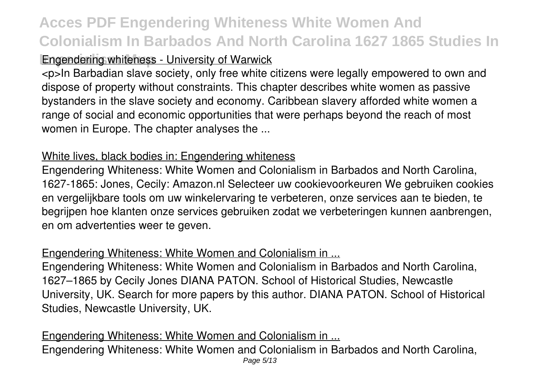### **Engendering whiteness - University of Warwick**

<p>In Barbadian slave society, only free white citizens were legally empowered to own and dispose of property without constraints. This chapter describes white women as passive bystanders in the slave society and economy. Caribbean slavery afforded white women a range of social and economic opportunities that were perhaps beyond the reach of most women in Europe. The chapter analyses the ...

#### White lives, black bodies in: Engendering whiteness

Engendering Whiteness: White Women and Colonialism in Barbados and North Carolina, 1627-1865: Jones, Cecily: Amazon.nl Selecteer uw cookievoorkeuren We gebruiken cookies en vergelijkbare tools om uw winkelervaring te verbeteren, onze services aan te bieden, te begrijpen hoe klanten onze services gebruiken zodat we verbeteringen kunnen aanbrengen, en om advertenties weer te geven.

#### Engendering Whiteness: White Women and Colonialism in ...

Engendering Whiteness: White Women and Colonialism in Barbados and North Carolina, 1627–1865 by Cecily Jones DIANA PATON. School of Historical Studies, Newcastle University, UK. Search for more papers by this author. DIANA PATON. School of Historical Studies, Newcastle University, UK.

Engendering Whiteness: White Women and Colonialism in ... Engendering Whiteness: White Women and Colonialism in Barbados and North Carolina, Page 5/13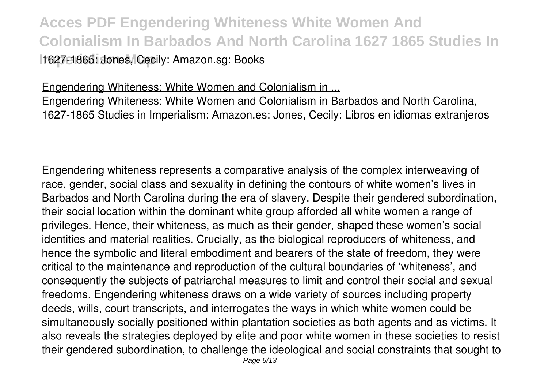### **Acces PDF Engendering Whiteness White Women And Colonialism In Barbados And North Carolina 1627 1865 Studies In** 1627-1865: Jones, Cecily: Amazon.sg: Books

#### Engendering Whiteness: White Women and Colonialism in ...

Engendering Whiteness: White Women and Colonialism in Barbados and North Carolina, 1627-1865 Studies in Imperialism: Amazon.es: Jones, Cecily: Libros en idiomas extranjeros

Engendering whiteness represents a comparative analysis of the complex interweaving of race, gender, social class and sexuality in defining the contours of white women's lives in Barbados and North Carolina during the era of slavery. Despite their gendered subordination, their social location within the dominant white group afforded all white women a range of privileges. Hence, their whiteness, as much as their gender, shaped these women's social identities and material realities. Crucially, as the biological reproducers of whiteness, and hence the symbolic and literal embodiment and bearers of the state of freedom, they were critical to the maintenance and reproduction of the cultural boundaries of 'whiteness', and consequently the subjects of patriarchal measures to limit and control their social and sexual freedoms. Engendering whiteness draws on a wide variety of sources including property deeds, wills, court transcripts, and interrogates the ways in which white women could be simultaneously socially positioned within plantation societies as both agents and as victims. It also reveals the strategies deployed by elite and poor white women in these societies to resist their gendered subordination, to challenge the ideological and social constraints that sought to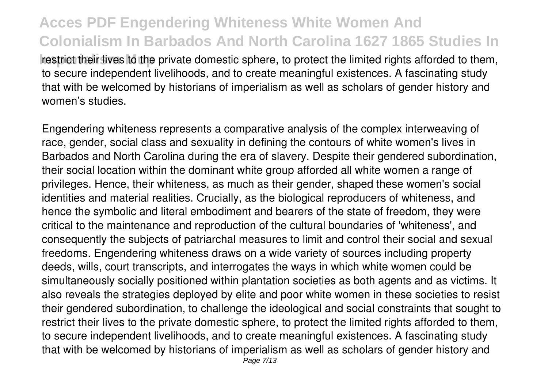**Inperializat** restrict their lives to the private domestic sphere, to protect the limited rights afforded to them, to secure independent livelihoods, and to create meaningful existences. A fascinating study that with be welcomed by historians of imperialism as well as scholars of gender history and women's studies.

Engendering whiteness represents a comparative analysis of the complex interweaving of race, gender, social class and sexuality in defining the contours of white women's lives in Barbados and North Carolina during the era of slavery. Despite their gendered subordination, their social location within the dominant white group afforded all white women a range of privileges. Hence, their whiteness, as much as their gender, shaped these women's social identities and material realities. Crucially, as the biological reproducers of whiteness, and hence the symbolic and literal embodiment and bearers of the state of freedom, they were critical to the maintenance and reproduction of the cultural boundaries of 'whiteness', and consequently the subjects of patriarchal measures to limit and control their social and sexual freedoms. Engendering whiteness draws on a wide variety of sources including property deeds, wills, court transcripts, and interrogates the ways in which white women could be simultaneously socially positioned within plantation societies as both agents and as victims. It also reveals the strategies deployed by elite and poor white women in these societies to resist their gendered subordination, to challenge the ideological and social constraints that sought to restrict their lives to the private domestic sphere, to protect the limited rights afforded to them, to secure independent livelihoods, and to create meaningful existences. A fascinating study that with be welcomed by historians of imperialism as well as scholars of gender history and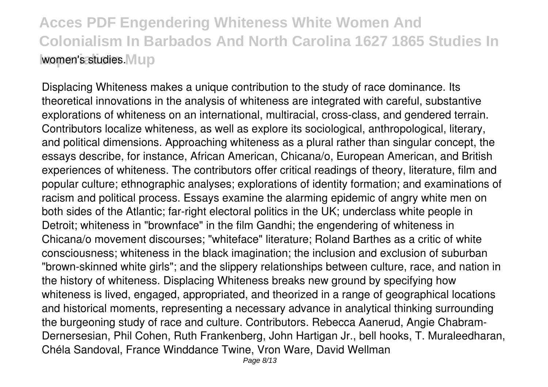Displacing Whiteness makes a unique contribution to the study of race dominance. Its theoretical innovations in the analysis of whiteness are integrated with careful, substantive explorations of whiteness on an international, multiracial, cross-class, and gendered terrain. Contributors localize whiteness, as well as explore its sociological, anthropological, literary, and political dimensions. Approaching whiteness as a plural rather than singular concept, the essays describe, for instance, African American, Chicana/o, European American, and British experiences of whiteness. The contributors offer critical readings of theory, literature, film and popular culture; ethnographic analyses; explorations of identity formation; and examinations of racism and political process. Essays examine the alarming epidemic of angry white men on both sides of the Atlantic; far-right electoral politics in the UK; underclass white people in Detroit; whiteness in "brownface" in the film Gandhi; the engendering of whiteness in Chicana/o movement discourses; "whiteface" literature; Roland Barthes as a critic of white consciousness; whiteness in the black imagination; the inclusion and exclusion of suburban "brown-skinned white girls"; and the slippery relationships between culture, race, and nation in the history of whiteness. Displacing Whiteness breaks new ground by specifying how whiteness is lived, engaged, appropriated, and theorized in a range of geographical locations and historical moments, representing a necessary advance in analytical thinking surrounding the burgeoning study of race and culture. Contributors. Rebecca Aanerud, Angie Chabram-Dernersesian, Phil Cohen, Ruth Frankenberg, John Hartigan Jr., bell hooks, T. Muraleedharan, Chéla Sandoval, France Winddance Twine, Vron Ware, David Wellman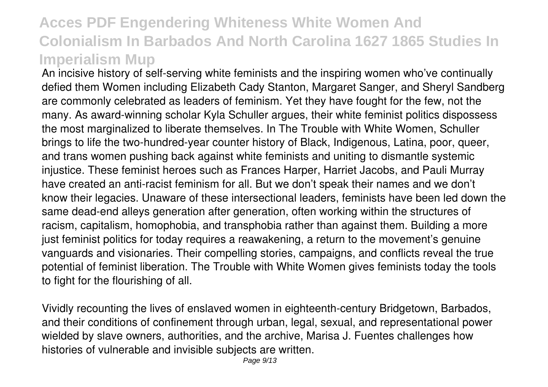An incisive history of self-serving white feminists and the inspiring women who've continually defied them Women including Elizabeth Cady Stanton, Margaret Sanger, and Sheryl Sandberg are commonly celebrated as leaders of feminism. Yet they have fought for the few, not the many. As award-winning scholar Kyla Schuller argues, their white feminist politics dispossess the most marginalized to liberate themselves. In The Trouble with White Women, Schuller brings to life the two-hundred-year counter history of Black, Indigenous, Latina, poor, queer, and trans women pushing back against white feminists and uniting to dismantle systemic injustice. These feminist heroes such as Frances Harper, Harriet Jacobs, and Pauli Murray have created an anti-racist feminism for all. But we don't speak their names and we don't know their legacies. Unaware of these intersectional leaders, feminists have been led down the same dead-end alleys generation after generation, often working within the structures of racism, capitalism, homophobia, and transphobia rather than against them. Building a more just feminist politics for today requires a reawakening, a return to the movement's genuine vanguards and visionaries. Their compelling stories, campaigns, and conflicts reveal the true potential of feminist liberation. The Trouble with White Women gives feminists today the tools to fight for the flourishing of all.

Vividly recounting the lives of enslaved women in eighteenth-century Bridgetown, Barbados, and their conditions of confinement through urban, legal, sexual, and representational power wielded by slave owners, authorities, and the archive, Marisa J. Fuentes challenges how histories of vulnerable and invisible subjects are written.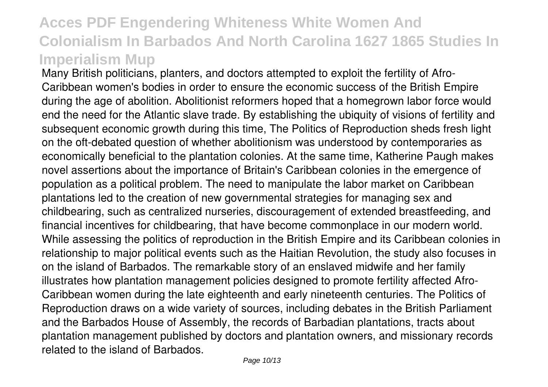Many British politicians, planters, and doctors attempted to exploit the fertility of Afro-Caribbean women's bodies in order to ensure the economic success of the British Empire during the age of abolition. Abolitionist reformers hoped that a homegrown labor force would end the need for the Atlantic slave trade. By establishing the ubiquity of visions of fertility and subsequent economic growth during this time, The Politics of Reproduction sheds fresh light on the oft-debated question of whether abolitionism was understood by contemporaries as economically beneficial to the plantation colonies. At the same time, Katherine Paugh makes novel assertions about the importance of Britain's Caribbean colonies in the emergence of population as a political problem. The need to manipulate the labor market on Caribbean plantations led to the creation of new governmental strategies for managing sex and childbearing, such as centralized nurseries, discouragement of extended breastfeeding, and financial incentives for childbearing, that have become commonplace in our modern world. While assessing the politics of reproduction in the British Empire and its Caribbean colonies in relationship to major political events such as the Haitian Revolution, the study also focuses in on the island of Barbados. The remarkable story of an enslaved midwife and her family illustrates how plantation management policies designed to promote fertility affected Afro-Caribbean women during the late eighteenth and early nineteenth centuries. The Politics of Reproduction draws on a wide variety of sources, including debates in the British Parliament and the Barbados House of Assembly, the records of Barbadian plantations, tracts about plantation management published by doctors and plantation owners, and missionary records related to the island of Barbados.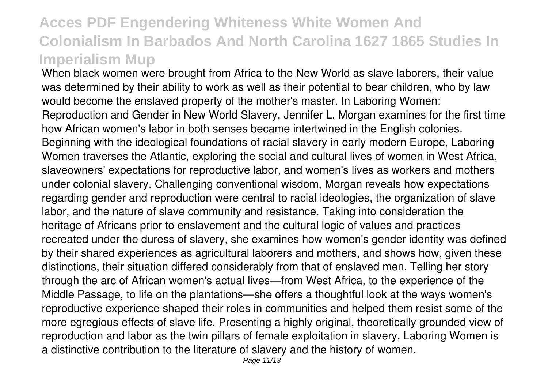When black women were brought from Africa to the New World as slave laborers, their value was determined by their ability to work as well as their potential to bear children, who by law would become the enslaved property of the mother's master. In Laboring Women: Reproduction and Gender in New World Slavery, Jennifer L. Morgan examines for the first time how African women's labor in both senses became intertwined in the English colonies. Beginning with the ideological foundations of racial slavery in early modern Europe, Laboring Women traverses the Atlantic, exploring the social and cultural lives of women in West Africa, slaveowners' expectations for reproductive labor, and women's lives as workers and mothers under colonial slavery. Challenging conventional wisdom, Morgan reveals how expectations regarding gender and reproduction were central to racial ideologies, the organization of slave labor, and the nature of slave community and resistance. Taking into consideration the heritage of Africans prior to enslavement and the cultural logic of values and practices recreated under the duress of slavery, she examines how women's gender identity was defined by their shared experiences as agricultural laborers and mothers, and shows how, given these distinctions, their situation differed considerably from that of enslaved men. Telling her story through the arc of African women's actual lives—from West Africa, to the experience of the Middle Passage, to life on the plantations—she offers a thoughtful look at the ways women's reproductive experience shaped their roles in communities and helped them resist some of the more egregious effects of slave life. Presenting a highly original, theoretically grounded view of reproduction and labor as the twin pillars of female exploitation in slavery, Laboring Women is a distinctive contribution to the literature of slavery and the history of women.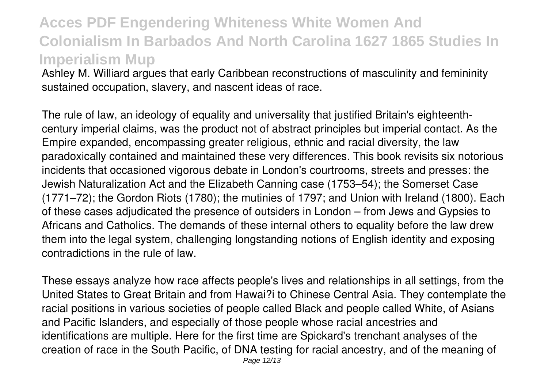Ashley M. Williard argues that early Caribbean reconstructions of masculinity and femininity sustained occupation, slavery, and nascent ideas of race.

The rule of law, an ideology of equality and universality that justified Britain's eighteenthcentury imperial claims, was the product not of abstract principles but imperial contact. As the Empire expanded, encompassing greater religious, ethnic and racial diversity, the law paradoxically contained and maintained these very differences. This book revisits six notorious incidents that occasioned vigorous debate in London's courtrooms, streets and presses: the Jewish Naturalization Act and the Elizabeth Canning case (1753–54); the Somerset Case (1771–72); the Gordon Riots (1780); the mutinies of 1797; and Union with Ireland (1800). Each of these cases adjudicated the presence of outsiders in London – from Jews and Gypsies to Africans and Catholics. The demands of these internal others to equality before the law drew them into the legal system, challenging longstanding notions of English identity and exposing contradictions in the rule of law.

These essays analyze how race affects people's lives and relationships in all settings, from the United States to Great Britain and from Hawai?i to Chinese Central Asia. They contemplate the racial positions in various societies of people called Black and people called White, of Asians and Pacific Islanders, and especially of those people whose racial ancestries and identifications are multiple. Here for the first time are Spickard's trenchant analyses of the creation of race in the South Pacific, of DNA testing for racial ancestry, and of the meaning of